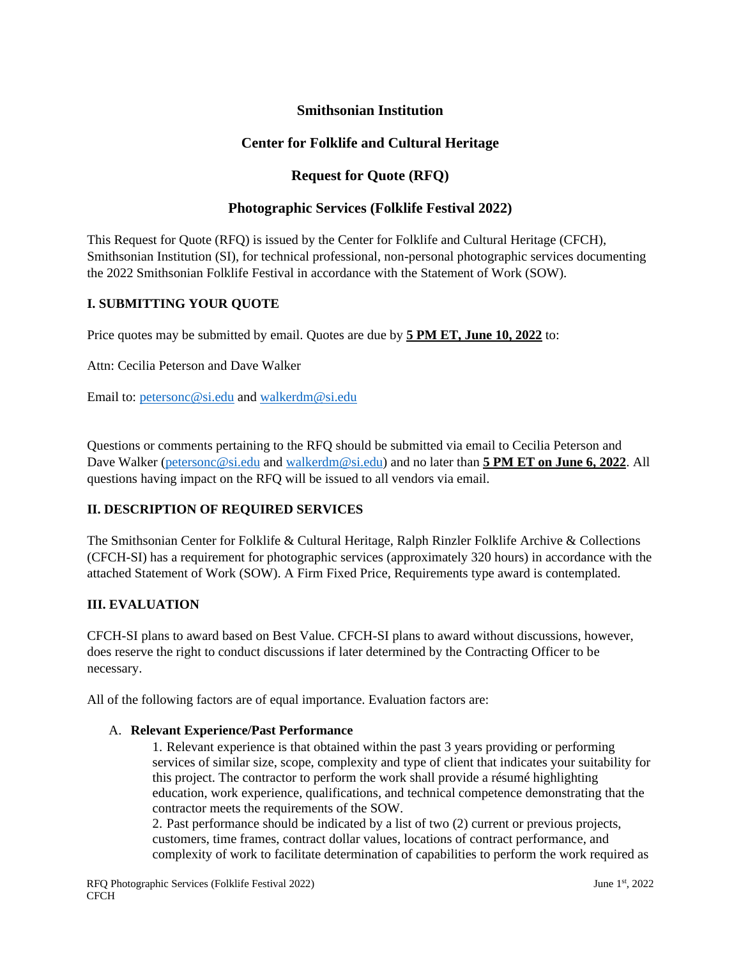## **Smithsonian Institution**

## **Center for Folklife and Cultural Heritage**

## **Request for Quote (RFQ)**

### **Photographic Services (Folklife Festival 2022)**

This Request for Quote (RFQ) is issued by the Center for Folklife and Cultural Heritage (CFCH), Smithsonian Institution (SI), for technical professional, non-personal photographic services documenting the 2022 Smithsonian Folklife Festival in accordance with the Statement of Work (SOW).

#### **I. SUBMITTING YOUR QUOTE**

Price quotes may be submitted by email. Quotes are due by **5 PM ET, June 10, 2022** to:

Attn: Cecilia Peterson and Dave Walker

Email to: [petersonc@si.edu](mailto:petersonc@si.edu) and [walkerdm@si.edu](mailto:walkerdm@si.edu)

Questions or comments pertaining to the RFQ should be submitted via email to Cecilia Peterson and Dave Walker [\(petersonc@si.edu](mailto:petersonc@si.edu) and [walkerdm@si.edu\)](mailto:walkerdm@si.edu) and no later than **5 PM ET on June 6, 2022**. All questions having impact on the RFQ will be issued to all vendors via email.

### **II. DESCRIPTION OF REQUIRED SERVICES**

The Smithsonian Center for Folklife & Cultural Heritage, Ralph Rinzler Folklife Archive & Collections (CFCH-SI) has a requirement for photographic services (approximately 320 hours) in accordance with the attached Statement of Work (SOW). A Firm Fixed Price, Requirements type award is contemplated.

#### **III. EVALUATION**

CFCH-SI plans to award based on Best Value. CFCH-SI plans to award without discussions, however, does reserve the right to conduct discussions if later determined by the Contracting Officer to be necessary.

All of the following factors are of equal importance. Evaluation factors are:

#### A. **Relevant Experience/Past Performance**

1. Relevant experience is that obtained within the past 3 years providing or performing services of similar size, scope, complexity and type of client that indicates your suitability for this project. The contractor to perform the work shall provide a résumé highlighting education, work experience, qualifications, and technical competence demonstrating that the contractor meets the requirements of the SOW.

2. Past performance should be indicated by a list of two (2) current or previous projects, customers, time frames, contract dollar values, locations of contract performance, and complexity of work to facilitate determination of capabilities to perform the work required as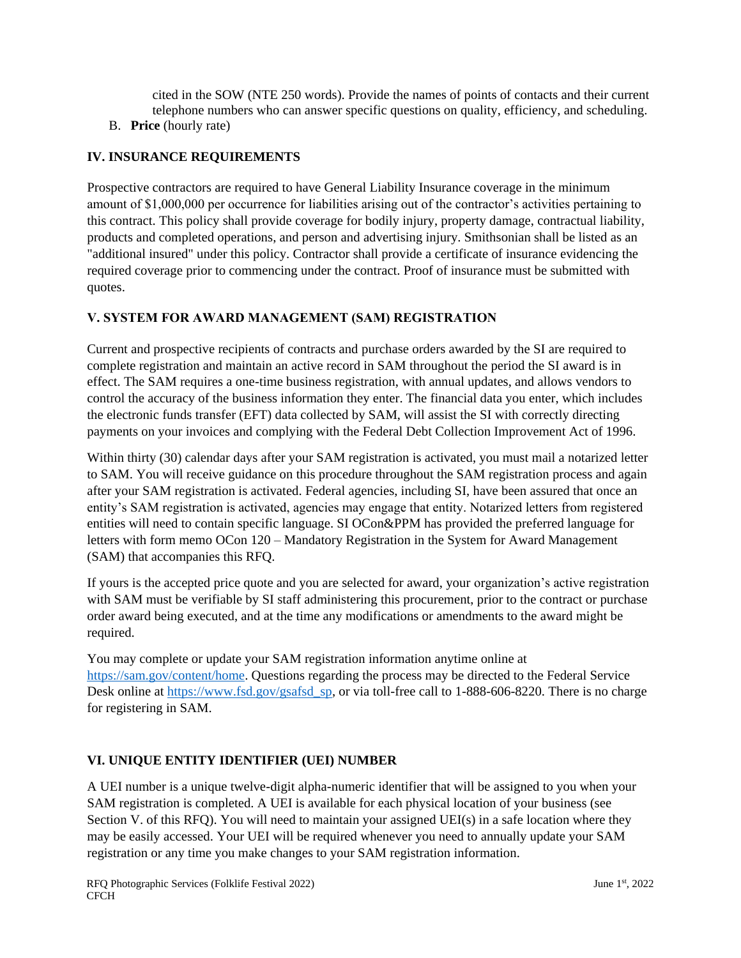cited in the SOW (NTE 250 words). Provide the names of points of contacts and their current telephone numbers who can answer specific questions on quality, efficiency, and scheduling.

B. **Price** (hourly rate)

# **IV. INSURANCE REQUIREMENTS**

Prospective contractors are required to have General Liability Insurance coverage in the minimum amount of \$1,000,000 per occurrence for liabilities arising out of the contractor's activities pertaining to this contract. This policy shall provide coverage for bodily injury, property damage, contractual liability, products and completed operations, and person and advertising injury. Smithsonian shall be listed as an "additional insured" under this policy. Contractor shall provide a certificate of insurance evidencing the required coverage prior to commencing under the contract. Proof of insurance must be submitted with quotes.

## **V. SYSTEM FOR AWARD MANAGEMENT (SAM) REGISTRATION**

Current and prospective recipients of contracts and purchase orders awarded by the SI are required to complete registration and maintain an active record in SAM throughout the period the SI award is in effect. The SAM requires a one-time business registration, with annual updates, and allows vendors to control the accuracy of the business information they enter. The financial data you enter, which includes the electronic funds transfer (EFT) data collected by SAM, will assist the SI with correctly directing payments on your invoices and complying with the Federal Debt Collection Improvement Act of 1996.

Within thirty (30) calendar days after your SAM registration is activated, you must mail a notarized letter to SAM. You will receive guidance on this procedure throughout the SAM registration process and again after your SAM registration is activated. Federal agencies, including SI, have been assured that once an entity's SAM registration is activated, agencies may engage that entity. Notarized letters from registered entities will need to contain specific language. SI OCon&PPM has provided the preferred language for letters with form memo OCon 120 – Mandatory Registration in the System for Award Management (SAM) that accompanies this RFQ.

If yours is the accepted price quote and you are selected for award, your organization's active registration with SAM must be verifiable by SI staff administering this procurement, prior to the contract or purchase order award being executed, and at the time any modifications or amendments to the award might be required.

You may complete or update your SAM registration information anytime online at [https://sam.gov/content/home.](https://sam.gov/content/home) Questions regarding the process may be directed to the Federal Service Desk online at [https://www.fsd.gov/gsafsd\\_sp,](https://www.fsd.gov/gsafsd_sp) or via toll-free call to 1-888-606-8220. There is no charge for registering in SAM.

# **VI. UNIQUE ENTITY IDENTIFIER (UEI) NUMBER**

A UEI number is a unique twelve-digit alpha-numeric identifier that will be assigned to you when your SAM registration is completed. A UEI is available for each physical location of your business (see Section V. of this RFO). You will need to maintain your assigned UEI(s) in a safe location where they may be easily accessed. Your UEI will be required whenever you need to annually update your SAM registration or any time you make changes to your SAM registration information.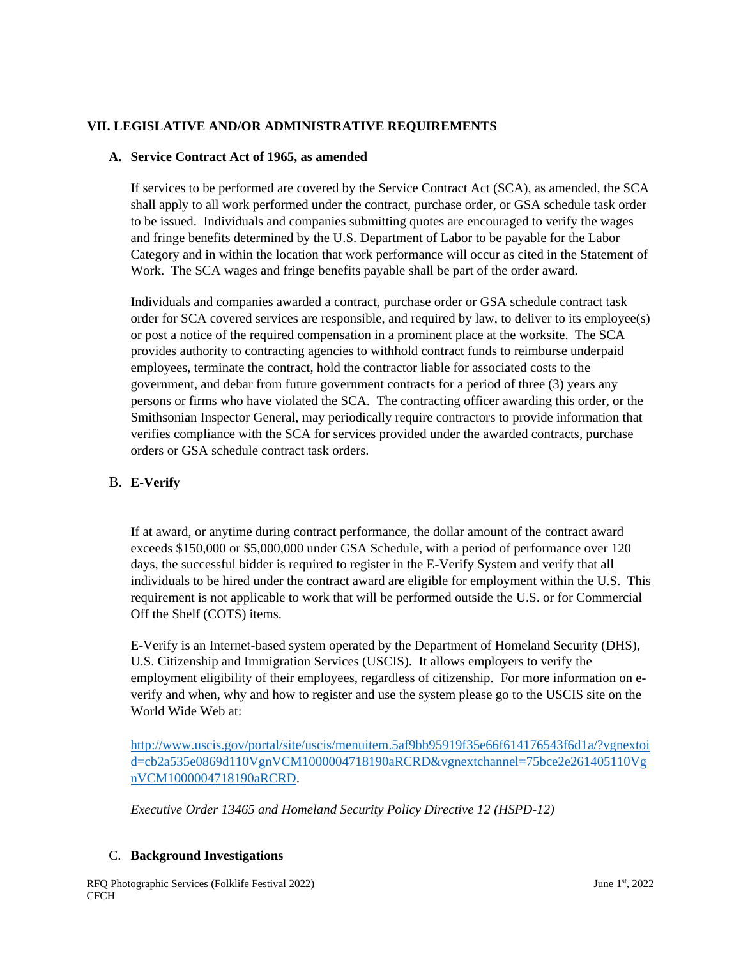## **VII. LEGISLATIVE AND/OR ADMINISTRATIVE REQUIREMENTS**

### **A. Service Contract Act of 1965, as amended**

If services to be performed are covered by the Service Contract Act (SCA), as amended, the SCA shall apply to all work performed under the contract, purchase order, or GSA schedule task order to be issued. Individuals and companies submitting quotes are encouraged to verify the wages and fringe benefits determined by the U.S. Department of Labor to be payable for the Labor Category and in within the location that work performance will occur as cited in the Statement of Work. The SCA wages and fringe benefits payable shall be part of the order award.

Individuals and companies awarded a contract, purchase order or GSA schedule contract task order for SCA covered services are responsible, and required by law, to deliver to its employee(s) or post a notice of the required compensation in a prominent place at the worksite. The SCA provides authority to contracting agencies to withhold contract funds to reimburse underpaid employees, terminate the contract, hold the contractor liable for associated costs to the government, and debar from future government contracts for a period of three (3) years any persons or firms who have violated the SCA. The contracting officer awarding this order, or the Smithsonian Inspector General, may periodically require contractors to provide information that verifies compliance with the SCA for services provided under the awarded contracts, purchase orders or GSA schedule contract task orders.

## B. **E-Verify**

If at award, or anytime during contract performance, the dollar amount of the contract award exceeds \$150,000 or \$5,000,000 under GSA Schedule, with a period of performance over 120 days, the successful bidder is required to register in the E-Verify System and verify that all individuals to be hired under the contract award are eligible for employment within the U.S. This requirement is not applicable to work that will be performed outside the U.S. or for Commercial Off the Shelf (COTS) items.

E-Verify is an Internet-based system operated by the Department of Homeland Security (DHS), U.S. Citizenship and Immigration Services (USCIS). It allows employers to verify the employment eligibility of their employees, regardless of citizenship. For more information on everify and when, why and how to register and use the system please go to the USCIS site on the World Wide Web at:

[http://www.uscis.gov/portal/site/uscis/menuitem.5af9bb95919f35e66f614176543f6d1a/?vgnextoi](http://www.uscis.gov/portal/site/uscis/menuitem.5af9bb95919f35e66f614176543f6d1a/?vgnextoid=cb2a535e0869d110VgnVCM1000004718190aRCRD&vgnextchannel=75bce2e261405110VgnVCM1000004718190aRCRD) [d=cb2a535e0869d110VgnVCM1000004718190aRCRD&vgnextchannel=75bce2e261405110Vg](http://www.uscis.gov/portal/site/uscis/menuitem.5af9bb95919f35e66f614176543f6d1a/?vgnextoid=cb2a535e0869d110VgnVCM1000004718190aRCRD&vgnextchannel=75bce2e261405110VgnVCM1000004718190aRCRD) [nVCM1000004718190aRCRD.](http://www.uscis.gov/portal/site/uscis/menuitem.5af9bb95919f35e66f614176543f6d1a/?vgnextoid=cb2a535e0869d110VgnVCM1000004718190aRCRD&vgnextchannel=75bce2e261405110VgnVCM1000004718190aRCRD)

*Executive Order 13465 and Homeland Security Policy Directive 12 (HSPD-12)*

### C. **Background Investigations**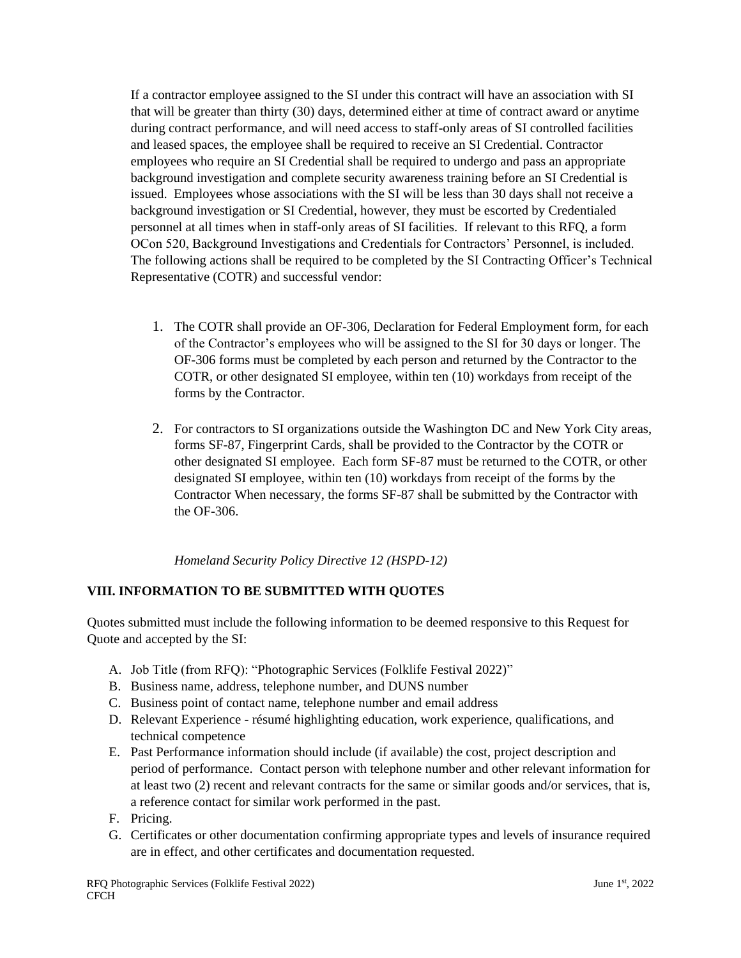If a contractor employee assigned to the SI under this contract will have an association with SI that will be greater than thirty (30) days, determined either at time of contract award or anytime during contract performance, and will need access to staff-only areas of SI controlled facilities and leased spaces, the employee shall be required to receive an SI Credential. Contractor employees who require an SI Credential shall be required to undergo and pass an appropriate background investigation and complete security awareness training before an SI Credential is issued. Employees whose associations with the SI will be less than 30 days shall not receive a background investigation or SI Credential, however, they must be escorted by Credentialed personnel at all times when in staff-only areas of SI facilities. If relevant to this RFQ, a form OCon 520, Background Investigations and Credentials for Contractors' Personnel, is included. The following actions shall be required to be completed by the SI Contracting Officer's Technical Representative (COTR) and successful vendor:

- 1. The COTR shall provide an OF-306, Declaration for Federal Employment form, for each of the Contractor's employees who will be assigned to the SI for 30 days or longer. The OF-306 forms must be completed by each person and returned by the Contractor to the COTR, or other designated SI employee, within ten (10) workdays from receipt of the forms by the Contractor.
- 2. For contractors to SI organizations outside the Washington DC and New York City areas, forms SF-87, Fingerprint Cards, shall be provided to the Contractor by the COTR or other designated SI employee. Each form SF-87 must be returned to the COTR, or other designated SI employee, within ten (10) workdays from receipt of the forms by the Contractor When necessary, the forms SF-87 shall be submitted by the Contractor with the OF-306.

*Homeland Security Policy Directive 12 (HSPD-12)*

# **VIII. INFORMATION TO BE SUBMITTED WITH QUOTES**

Quotes submitted must include the following information to be deemed responsive to this Request for Quote and accepted by the SI:

- A. Job Title (from RFQ): "Photographic Services (Folklife Festival 2022)"
- B. Business name, address, telephone number, and DUNS number
- C. Business point of contact name, telephone number and email address
- D. Relevant Experience résumé highlighting education, work experience, qualifications, and technical competence
- E. Past Performance information should include (if available) the cost, project description and period of performance. Contact person with telephone number and other relevant information for at least two (2) recent and relevant contracts for the same or similar goods and/or services, that is, a reference contact for similar work performed in the past.
- F. Pricing.
- G. Certificates or other documentation confirming appropriate types and levels of insurance required are in effect, and other certificates and documentation requested.